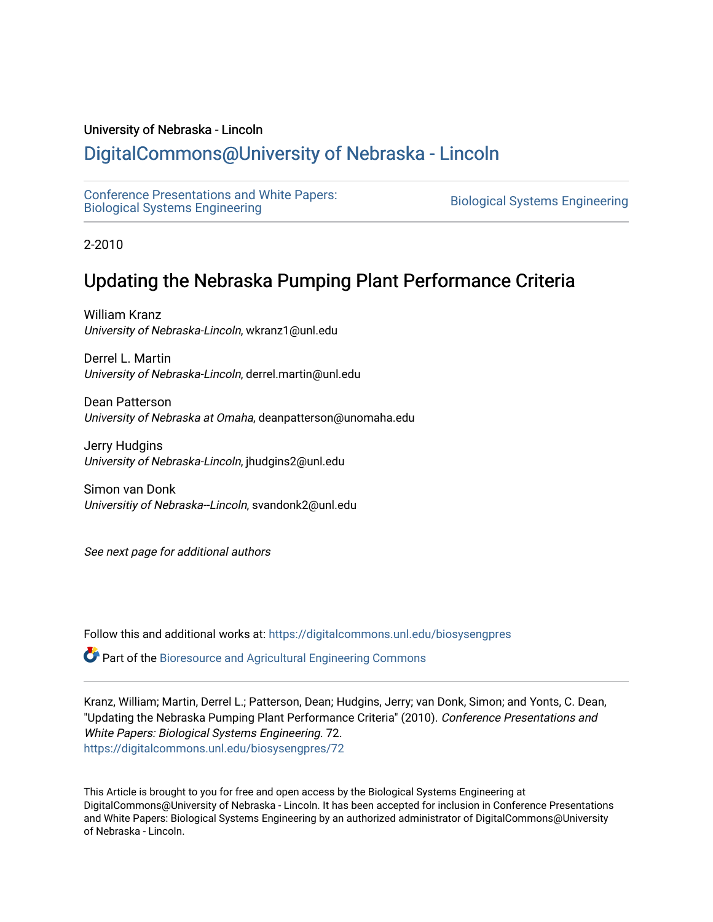#### University of Nebraska - Lincoln

# [DigitalCommons@University of Nebraska - Lincoln](https://digitalcommons.unl.edu/)

[Conference Presentations and White Papers:](https://digitalcommons.unl.edu/biosysengpres)  [Biological Systems Engineering](https://digitalcommons.unl.edu/biosysengpres) [Biological Systems Engineering](https://digitalcommons.unl.edu/agbiosyseng) 

2-2010

# Updating the Nebraska Pumping Plant Performance Criteria

William Kranz University of Nebraska-Lincoln, wkranz1@unl.edu

Derrel L. Martin University of Nebraska-Lincoln, derrel.martin@unl.edu

Dean Patterson University of Nebraska at Omaha, deanpatterson@unomaha.edu

Jerry Hudgins University of Nebraska-Lincoln, jhudgins2@unl.edu

Simon van Donk Universitiy of Nebraska--Lincoln, svandonk2@unl.edu

See next page for additional authors

Follow this and additional works at: [https://digitalcommons.unl.edu/biosysengpres](https://digitalcommons.unl.edu/biosysengpres?utm_source=digitalcommons.unl.edu%2Fbiosysengpres%2F72&utm_medium=PDF&utm_campaign=PDFCoverPages)

Part of the [Bioresource and Agricultural Engineering Commons](https://network.bepress.com/hgg/discipline/1056?utm_source=digitalcommons.unl.edu%2Fbiosysengpres%2F72&utm_medium=PDF&utm_campaign=PDFCoverPages)

Kranz, William; Martin, Derrel L.; Patterson, Dean; Hudgins, Jerry; van Donk, Simon; and Yonts, C. Dean, "Updating the Nebraska Pumping Plant Performance Criteria" (2010). Conference Presentations and White Papers: Biological Systems Engineering. 72. [https://digitalcommons.unl.edu/biosysengpres/72](https://digitalcommons.unl.edu/biosysengpres/72?utm_source=digitalcommons.unl.edu%2Fbiosysengpres%2F72&utm_medium=PDF&utm_campaign=PDFCoverPages) 

This Article is brought to you for free and open access by the Biological Systems Engineering at DigitalCommons@University of Nebraska - Lincoln. It has been accepted for inclusion in Conference Presentations and White Papers: Biological Systems Engineering by an authorized administrator of DigitalCommons@University of Nebraska - Lincoln.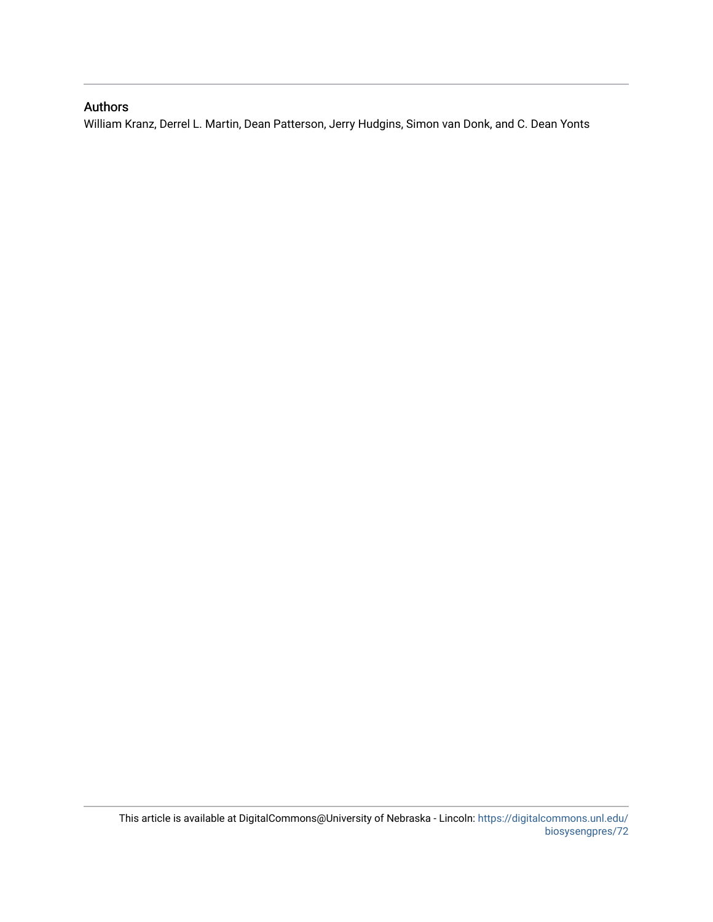#### Authors

William Kranz, Derrel L. Martin, Dean Patterson, Jerry Hudgins, Simon van Donk, and C. Dean Yonts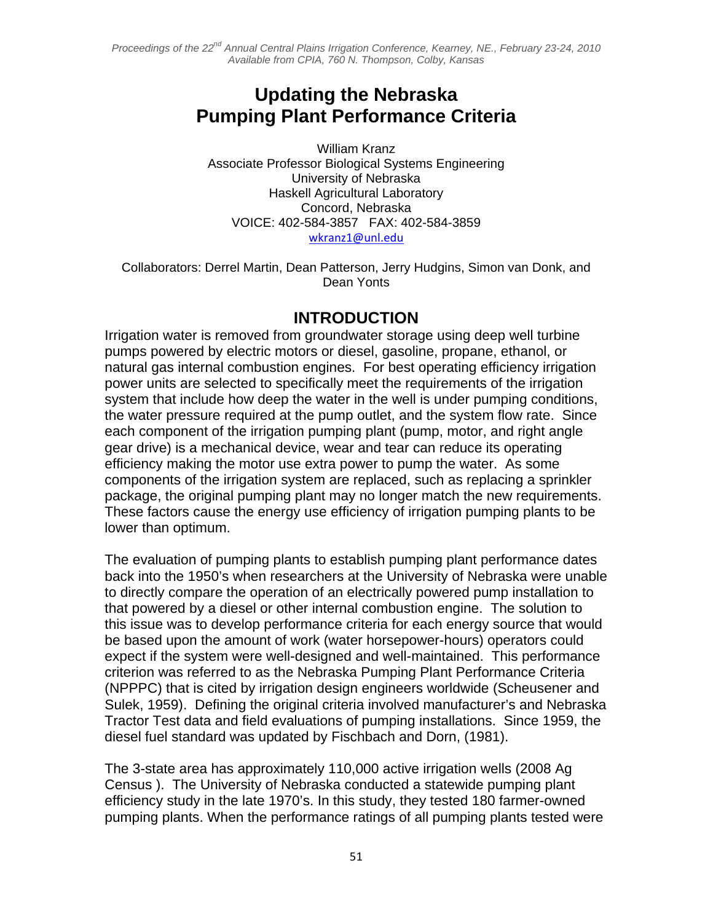# **Updating the Nebraska Pumping Plant Performance Criteria**

 William Kranz Associate Professor Biological Systems Engineering University of Nebraska Haskell Agricultural Laboratory Concord, Nebraska VOICE: 402-584-3857 FAX: 402-584-3859 wkranz1@unl.edu

Collaborators: Derrel Martin, Dean Patterson, Jerry Hudgins, Simon van Donk, and Dean Yonts

## **INTRODUCTION**

Irrigation water is removed from groundwater storage using deep well turbine pumps powered by electric motors or diesel, gasoline, propane, ethanol, or natural gas internal combustion engines. For best operating efficiency irrigation power units are selected to specifically meet the requirements of the irrigation system that include how deep the water in the well is under pumping conditions, the water pressure required at the pump outlet, and the system flow rate. Since each component of the irrigation pumping plant (pump, motor, and right angle gear drive) is a mechanical device, wear and tear can reduce its operating efficiency making the motor use extra power to pump the water. As some components of the irrigation system are replaced, such as replacing a sprinkler package, the original pumping plant may no longer match the new requirements. These factors cause the energy use efficiency of irrigation pumping plants to be lower than optimum.

The evaluation of pumping plants to establish pumping plant performance dates back into the 1950's when researchers at the University of Nebraska were unable to directly compare the operation of an electrically powered pump installation to that powered by a diesel or other internal combustion engine. The solution to this issue was to develop performance criteria for each energy source that would be based upon the amount of work (water horsepower-hours) operators could expect if the system were well-designed and well-maintained. This performance criterion was referred to as the Nebraska Pumping Plant Performance Criteria (NPPPC) that is cited by irrigation design engineers worldwide (Scheusener and Sulek, 1959). Defining the original criteria involved manufacturer's and Nebraska Tractor Test data and field evaluations of pumping installations. Since 1959, the diesel fuel standard was updated by Fischbach and Dorn, (1981).

The 3-state area has approximately 110,000 active irrigation wells (2008 Ag Census ). The University of Nebraska conducted a statewide pumping plant efficiency study in the late 1970's. In this study, they tested 180 farmer-owned pumping plants. When the performance ratings of all pumping plants tested were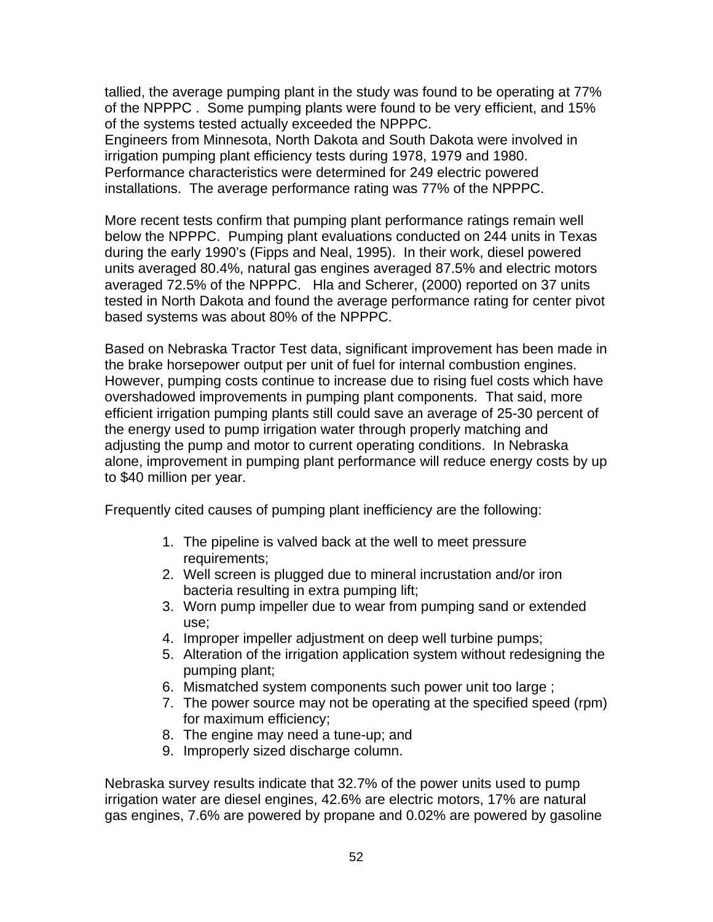tallied, the average pumping plant in the study was found to be operating at 77% of the NPPPC . Some pumping plants were found to be very efficient, and 15% of the systems tested actually exceeded the NPPPC.

Engineers from Minnesota, North Dakota and South Dakota were involved in irrigation pumping plant efficiency tests during 1978, 1979 and 1980. Performance characteristics were determined for 249 electric powered installations. The average performance rating was 77% of the NPPPC.

More recent tests confirm that pumping plant performance ratings remain well below the NPPPC. Pumping plant evaluations conducted on 244 units in Texas during the early 1990's (Fipps and Neal, 1995). In their work, diesel powered units averaged 80.4%, natural gas engines averaged 87.5% and electric motors averaged 72.5% of the NPPPC. Hla and Scherer, (2000) reported on 37 units tested in North Dakota and found the average performance rating for center pivot based systems was about 80% of the NPPPC.

Based on Nebraska Tractor Test data, significant improvement has been made in the brake horsepower output per unit of fuel for internal combustion engines. However, pumping costs continue to increase due to rising fuel costs which have overshadowed improvements in pumping plant components. That said, more efficient irrigation pumping plants still could save an average of 25-30 percent of the energy used to pump irrigation water through properly matching and adjusting the pump and motor to current operating conditions. In Nebraska alone, improvement in pumping plant performance will reduce energy costs by up to \$40 million per year.

Frequently cited causes of pumping plant inefficiency are the following:

- 1. The pipeline is valved back at the well to meet pressure requirements;
- 2. Well screen is plugged due to mineral incrustation and/or iron bacteria resulting in extra pumping lift;
- 3. Worn pump impeller due to wear from pumping sand or extended use;
- 4. Improper impeller adjustment on deep well turbine pumps;
- 5. Alteration of the irrigation application system without redesigning the pumping plant;
- 6. Mismatched system components such power unit too large ;
- 7. The power source may not be operating at the specified speed (rpm) for maximum efficiency;
- 8. The engine may need a tune-up; and
- 9. Improperly sized discharge column.

Nebraska survey results indicate that 32.7% of the power units used to pump irrigation water are diesel engines, 42.6% are electric motors, 17% are natural gas engines, 7.6% are powered by propane and 0.02% are powered by gasoline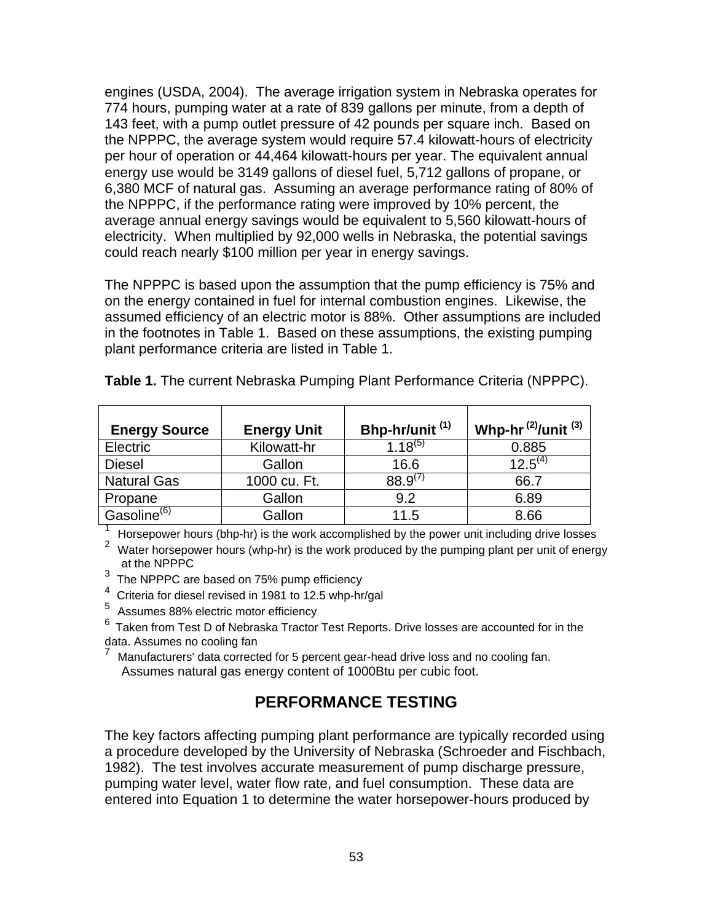engines (USDA, 2004). The average irrigation system in Nebraska operates for 774 hours, pumping water at a rate of 839 gallons per minute, from a depth of 143 feet, with a pump outlet pressure of 42 pounds per square inch. Based on the NPPPC, the average system would require 57.4 kilowatt-hours of electricity per hour of operation or 44,464 kilowatt-hours per year. The equivalent annual energy use would be 3149 gallons of diesel fuel, 5,712 gallons of propane, or 6,380 MCF of natural gas. Assuming an average performance rating of 80% of the NPPPC, if the performance rating were improved by 10% percent, the average annual energy savings would be equivalent to 5,560 kilowatt-hours of electricity. When multiplied by 92,000 wells in Nebraska, the potential savings could reach nearly \$100 million per year in energy savings.

The NPPPC is based upon the assumption that the pump efficiency is 75% and on the energy contained in fuel for internal combustion engines. Likewise, the assumed efficiency of an electric motor is 88%. Other assumptions are included in the footnotes in Table 1. Based on these assumptions, the existing pumping plant performance criteria are listed in Table 1.

| <b>Energy Source</b>    | <b>Energy Unit</b> | Bhp-hr/unit <sup>(1)</sup> | Whp-hr $^{(2)}$ /unit $^{(3)}$ |
|-------------------------|--------------------|----------------------------|--------------------------------|
| <b>Electric</b>         | Kilowatt-hr        | $1.18^{(5)}$               | 0.885                          |
| <b>Diesel</b>           | Gallon             | 16.6                       | $12.5^{(4)}$                   |
| <b>Natural Gas</b>      | 1000 cu. Ft.       | $88.9^{(7)}$               | 66.7                           |
| Propane                 | Gallon             | 9.2                        | 6.89                           |
| Gasoline <sup>(6)</sup> | Gallon             | 11.5                       | 8.66                           |

**Table 1.** The current Nebraska Pumping Plant Performance Criteria (NPPPC).

<sup>1</sup> Horsepower hours (bhp-hr) is the work accomplished by the power unit including drive losses

<sup>2</sup> Water horsepower hours (whp-hr) is the work produced by the pumping plant per unit of energy at the NPPPC

 $3$  The NPPPC are based on 75% pump efficiency

4 Criteria for diesel revised in 1981 to 12.5 whp-hr/gal

5 Assumes 88% electric motor efficiency

 $^6$  Taken from Test D of Nebraska Tractor Test Reports. Drive losses are accounted for in the data. Assumes no cooling fan

7 Manufacturers' data corrected for 5 percent gear-head drive loss and no cooling fan. Assumes natural gas energy content of 1000Btu per cubic foot.

## **PERFORMANCE TESTING**

The key factors affecting pumping plant performance are typically recorded using a procedure developed by the University of Nebraska (Schroeder and Fischbach, 1982). The test involves accurate measurement of pump discharge pressure, pumping water level, water flow rate, and fuel consumption. These data are entered into Equation 1 to determine the water horsepower-hours produced by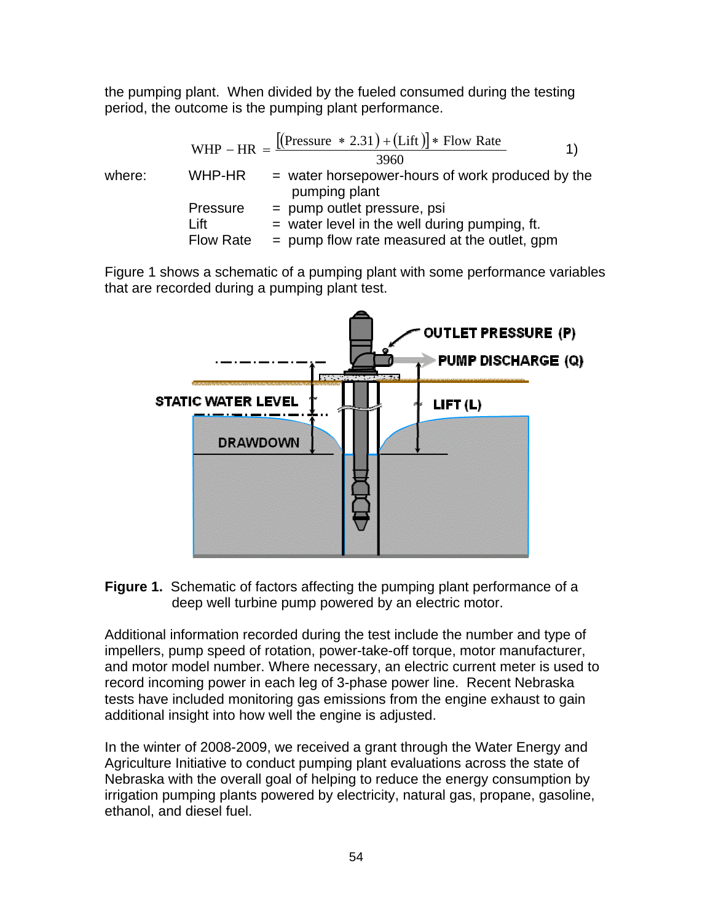the pumping plant. When divided by the fueled consumed during the testing period, the outcome is the pumping plant performance.

where:

\n
$$
WHP - HR = \frac{[(Pressure * 2.31) + (Lift)] * Flow Rate}{3960}
$$
\nWhere:

\n
$$
WHP-HR = water horsepower-hours of work produced by the pumping plant
$$
\nPressure = pump outlet pressure, psi = water level in the well during pumping, ft. Flow Rate = pump flow rate measured at the outlet, gpm

Figure 1 shows a schematic of a pumping plant with some performance variables that are recorded during a pumping plant test.



**Figure 1.** Schematic of factors affecting the pumping plant performance of a deep well turbine pump powered by an electric motor.

Additional information recorded during the test include the number and type of impellers, pump speed of rotation, power-take-off torque, motor manufacturer, and motor model number. Where necessary, an electric current meter is used to record incoming power in each leg of 3-phase power line. Recent Nebraska tests have included monitoring gas emissions from the engine exhaust to gain additional insight into how well the engine is adjusted.

In the winter of 2008-2009, we received a grant through the Water Energy and Agriculture Initiative to conduct pumping plant evaluations across the state of Nebraska with the overall goal of helping to reduce the energy consumption by irrigation pumping plants powered by electricity, natural gas, propane, gasoline, ethanol, and diesel fuel.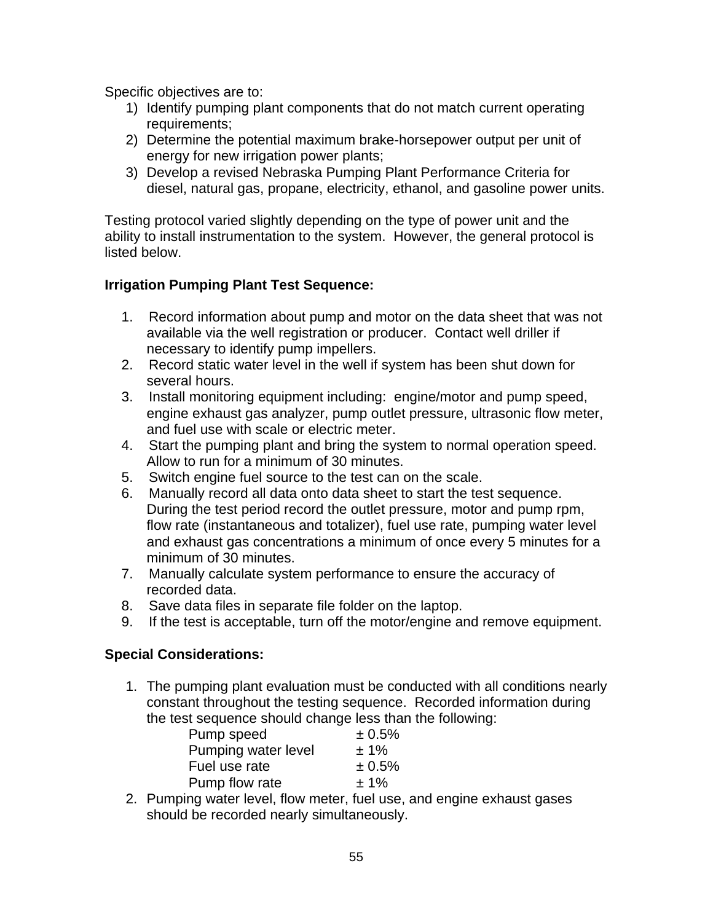Specific objectives are to:

- 1) Identify pumping plant components that do not match current operating requirements;
- 2) Determine the potential maximum brake-horsepower output per unit of energy for new irrigation power plants;
- 3) Develop a revised Nebraska Pumping Plant Performance Criteria for diesel, natural gas, propane, electricity, ethanol, and gasoline power units.

Testing protocol varied slightly depending on the type of power unit and the ability to install instrumentation to the system. However, the general protocol is listed below.

#### **Irrigation Pumping Plant Test Sequence:**

- 1. Record information about pump and motor on the data sheet that was not available via the well registration or producer. Contact well driller if necessary to identify pump impellers.
- 2. Record static water level in the well if system has been shut down for several hours.
- 3. Install monitoring equipment including: engine/motor and pump speed, engine exhaust gas analyzer, pump outlet pressure, ultrasonic flow meter, and fuel use with scale or electric meter.
- 4. Start the pumping plant and bring the system to normal operation speed. Allow to run for a minimum of 30 minutes.
- 5. Switch engine fuel source to the test can on the scale.
- 6. Manually record all data onto data sheet to start the test sequence. During the test period record the outlet pressure, motor and pump rpm, flow rate (instantaneous and totalizer), fuel use rate, pumping water level and exhaust gas concentrations a minimum of once every 5 minutes for a minimum of 30 minutes.
- 7. Manually calculate system performance to ensure the accuracy of recorded data.
- 8. Save data files in separate file folder on the laptop.
- 9. If the test is acceptable, turn off the motor/engine and remove equipment.

#### **Special Considerations:**

1. The pumping plant evaluation must be conducted with all conditions nearly constant throughout the testing sequence. Recorded information during the test sequence should change less than the following:

| Pump speed          | ± 0.5%  |
|---------------------|---------|
| Pumping water level | $± 1\%$ |
| Fuel use rate       | ± 0.5%  |
| Pump flow rate      | $±1\%$  |

2. Pumping water level, flow meter, fuel use, and engine exhaust gases should be recorded nearly simultaneously.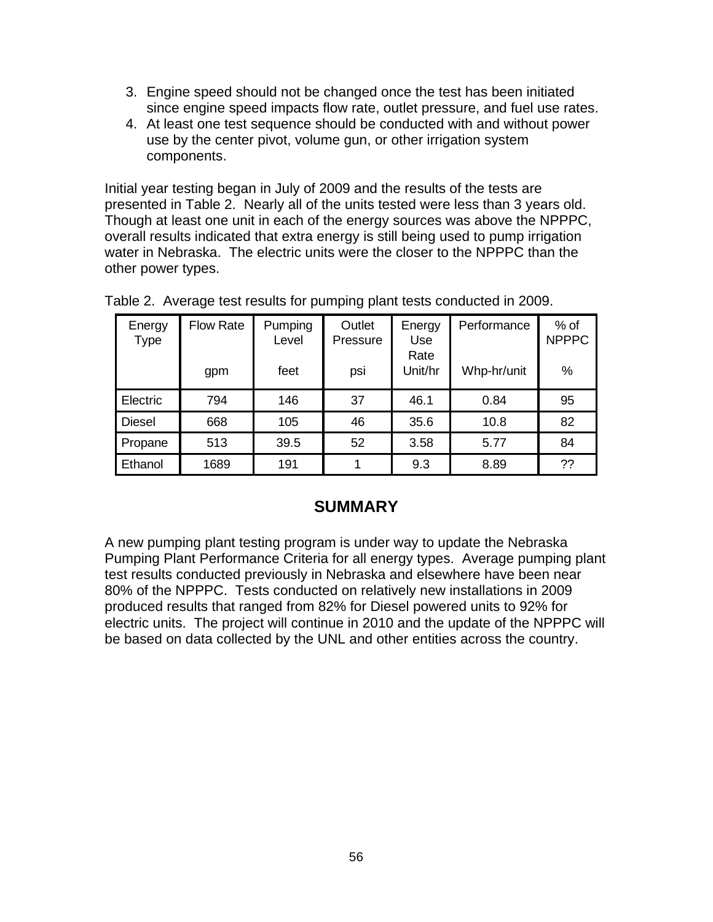- 3. Engine speed should not be changed once the test has been initiated since engine speed impacts flow rate, outlet pressure, and fuel use rates.
- 4. At least one test sequence should be conducted with and without power use by the center pivot, volume gun, or other irrigation system components.

Initial year testing began in July of 2009 and the results of the tests are presented in Table 2. Nearly all of the units tested were less than 3 years old. Though at least one unit in each of the energy sources was above the NPPPC, overall results indicated that extra energy is still being used to pump irrigation water in Nebraska. The electric units were the closer to the NPPPC than the other power types.

| Energy<br>Type | <b>Flow Rate</b> | Pumping<br>Level | Outlet<br>Pressure | Energy<br><b>Use</b> | Performance | $%$ of<br><b>NPPPC</b> |
|----------------|------------------|------------------|--------------------|----------------------|-------------|------------------------|
|                | gpm              | feet             | psi                | Rate<br>Unit/hr      | Whp-hr/unit | %                      |
| Electric       | 794              | 146              | 37                 | 46.1                 | 0.84        | 95                     |
| <b>Diesel</b>  | 668              | 105              | 46                 | 35.6                 | 10.8        | 82                     |
| Propane        | 513              | 39.5             | 52                 | 3.58                 | 5.77        | 84                     |
| Ethanol        | 1689             | 191              |                    | 9.3                  | 8.89        | ??                     |

|  |  | Table 2. Average test results for pumping plant tests conducted in 2009. |
|--|--|--------------------------------------------------------------------------|
|  |  |                                                                          |

### **SUMMARY**

A new pumping plant testing program is under way to update the Nebraska Pumping Plant Performance Criteria for all energy types. Average pumping plant test results conducted previously in Nebraska and elsewhere have been near 80% of the NPPPC. Tests conducted on relatively new installations in 2009 produced results that ranged from 82% for Diesel powered units to 92% for electric units. The project will continue in 2010 and the update of the NPPPC will be based on data collected by the UNL and other entities across the country.